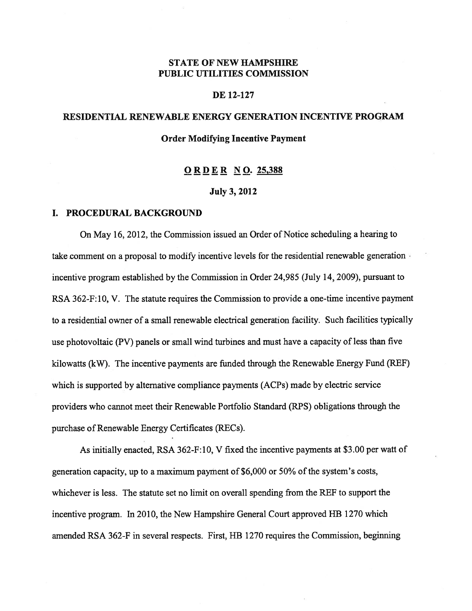## STATE OF NEW HAMPSHIRE PUBLIC UTILITIES COMMISSION

## DE 12-127

# RESIDENTIAL RENEWABLE ENERGY GENERATION INCENTIVE PROGRAM

## Order Modifying Incentive Payment

## ORDER NO. 25,388

#### July 3, 2012

#### I. PROCEDURAL BACKGROUND

On May 16, 2012, the Commission issued an Order of Notice scheduling a hearing to take comment on a proposal to modify incentive levels for the residential renewable generation incentive program established by the Commission in Order 24,985 (July 14, 2009), pursuant to RSA 362-F:10, V. The statute requires the Commission to provide a one-time incentive payment to a residential owner of a small renewable electrical generation facility. Such facilities typically use photovoltaic (PV) panels or small wind turbines and must have a capacity of less than five kilowatts (kW). The incentive payments are funded through the Renewable Energy Fund (REF) which is supported by alternative compliance payments (ACPs) made by electric service providers who cannot meet their Renewable Portfolio Standard (RPS) obligations through the purchase of Renewable Energy Certificates (RECs).

As initially enacted, RSA 362-F:10, V fixed the incentive payments at \$3.00 per watt of generation capacity, up to a maximum payment of  $$6,000$  or  $50\%$  of the system's costs, whichever is less. The statute set no limit on overall spending from the REF to support the incentive program. In 2010, the New Hampshire General Court approved HB 1270 which amended RSA 362-F in several respects. First, HB 1270 requires the Commission, beginning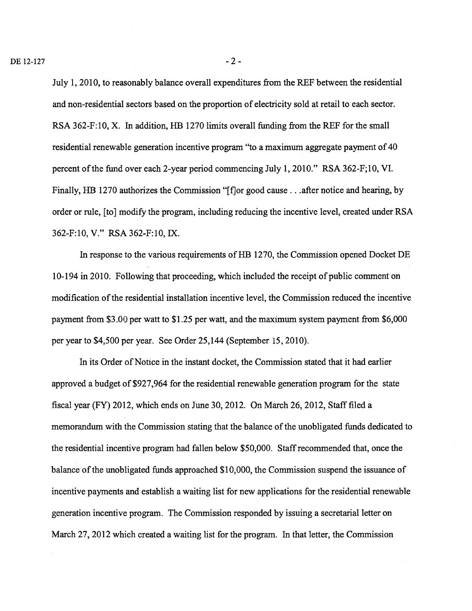July 1, 2010, to reasonably balance overall expenditures from the REF between the residential and non-residential sectors based on the proportion of electricity sold at retail to each sector. RSA 362-F:10, X. In addition, HB 1270 limits overall funding from the REF for the small residential renewable generation incentive program "to a maximum aggregate payment of 40 percent of the fund over each 2-year period commencing July 1, 2010." RSA 362-F;10, VI. Finally, HB 1270 authorizes the Commission "[f]or good cause . . . after notice and hearing, by order or rule, [to] modify the program, including reducing the incentive level, created under RSA 362-F:l0, V." RSA 362-F:10, IX.

In response to the various requirements of HB 1270, the Commission opened Docket DE 10-194 in 2010. Following that proceeding, which included the receipt of public comment on modification ofthe residential installation incentive level, the Commission reduced the incentive payment from \$3.00 per watt to \$1.25 per watt, and the maximum system payment from \$6,000 per year to \$4,500 per year. See Order 25,144 (September 15, 2010).

In its Order of Notice in the instant docket, the Commission stated that it had earlier approved a budget of \$927,964 for the residential renewable generation program for the state fiscal year (FY) 2012, which ends on June 30, 2012. On March 26, 2012, Staff filed a memorandum with the Commission stating that the balance of the unobligated funds dedicated to the residential incentive program had fallen below \$50,000. Staffrecommended that, once the balance of the unobligated funds approached \$10,000, the Commission suspend the issuance of incentive payments and establish a waiting list for new applications for the residential renewable generation incentive program. The Commission responded by issuing a secretarial letter on March 27, 2012 which created a waiting list for the program. In that letter, the Commission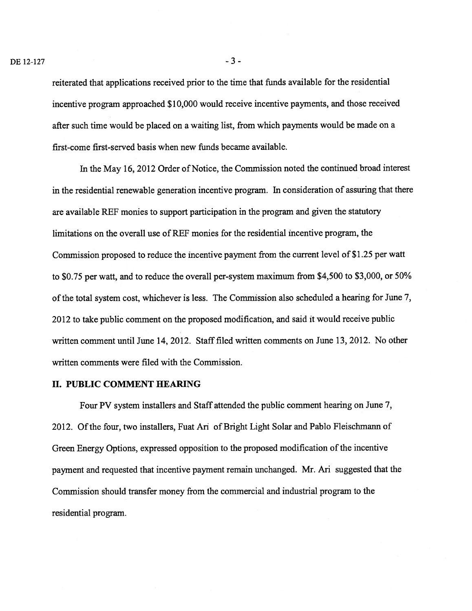reiterated that applications received prior to the time that funds available for the residential incentive program approached \$10,000 would receive incentive payments, and those received after such time would be placed on a waiting list, from which payments would be made on a first-come first-served basis when new funds became available.

In the May 16, 2012 Order of Notice, the Commission noted the continued broad interest in the residential renewable generation incentive program. In consideration of assuring that there are available REF monies to support participation in the program and given the statutory limitations on the overall use of REF monies for the residential incentive program, the Commission proposed to reduce the incentive payment from the current level of \$1.25 per watt to \$0.75 per watt, and to reduce the overall per-system maximum from \$4,500 to \$3,000, or 50% of the total system cost, whichever is less. The Commission also scheduled a hearing for June 7, 2012 to take public comment on the proposed modification, and said it would receive public written comment until June 14, 2012. Staff filed written comments on June 13, 2012. No other written comments were filed with the Commission.

#### II. PUBLIC COMMENT HEARING

Four PV system installers and Staff attended the public comment hearing on June 7, 2012. Of the four, two installers, Fuat Ari of Bright Light Solar and Pablo Fleischmann of Green Energy Options, expressed opposition to the proposed modification of the incentive payment and requested that incentive payment remain unchanged. Mr. Ari suggested that the Commission should transfer money from the commercial and industrial program to the residential program.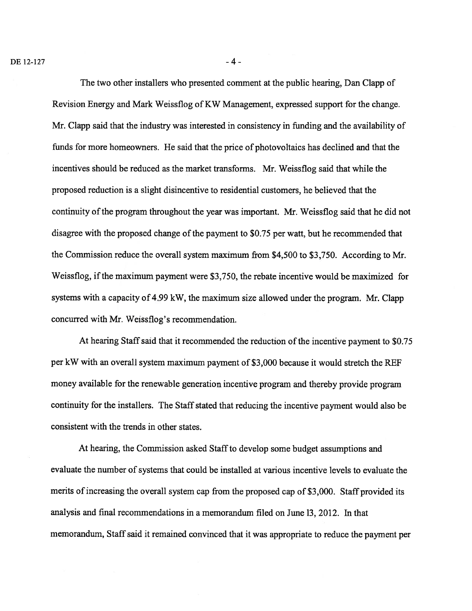The two other installers who presented comment at the public hearing, Dan Clapp of Revision Energy and Mark Weissflog of KW Management, expressed support for the change. Mr. Clapp said that the industry was interested in consistency in funding and the availability of funds for more homeowners. He said that the price of photovoltaics has declined and that the incentives should be reduced as the market transforms. Mr. Weissflog said that while the proposed reduction is a slight disincentive to residential customers, he believed that the continuity of the program throughout the year was important. Mr. Weissflog said that he did not disagree with the proposed change of the payment to \$0.75 per watt, but he recommended that the Commission reduce the overall system maximum from \$4,500 to \$3,750. According to Mr. Weissflog, if the maximum payment were \$3,750, the rebate incentive would be maximized for systems with a capacity of 4.99 kW, the maximum size allowed under the program. Mr. Clapp concurred with Mr. Weissflog's recommendation.

At hearing Staff said that it recommended the reduction of the incentive payment to \$0.75 per kW with an overall system maximum payment of \$3,000 because it would stretch the REF money available for the renewable generation incentive program and thereby provide program continuity for the installers. The Staffstated that reducing the incentive payment would also be consistent with the trends in other states.

At hearing, the Commission asked Staff to develop some budget assumptions and evaluate the number of systems that could be installed at various incentive levels to evaluate the merits of increasing the overall system cap from the proposed cap of \$3,000. Staff provided its analysis and final recommendations in a memorandum filed on June 13, 2012. In that memorandum, Staff said it remained convinced that it was appropriate to reduce the payment per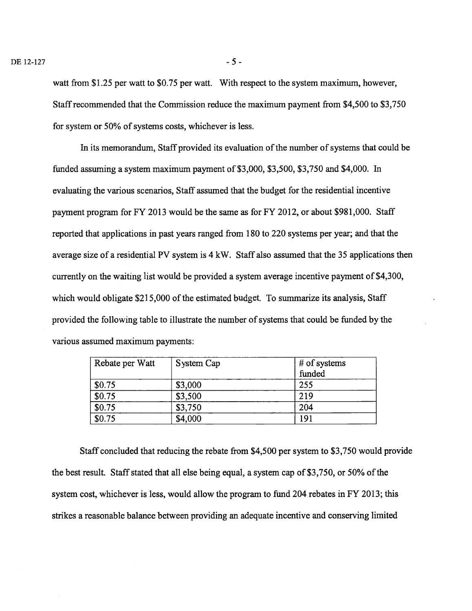watt from \$1.25 per watt to \$0.75 per watt. With respect to the system maximum, however, Staffrecommended that the Commission reduce the maximum payment from \$4,500 to \$3,750 for system or 50% of systems costs, whichever is less.

In its memorandum, Staff provided its evaluation of the number of systems that could be funded assuming a system maximum payment of \$3,000, \$3,500, \$3,750 and \$4,000. In evaluating the various scenarios, Staff assumed that the budget for the residential incentive payment program for FY 2013 would be the same as for FY 2012, or about \$981,000. Staff reported that applications in past years ranged from 180 to 220 systems per year; and that the average size of a residential PV system is 4 kW. Staff also assumed that the 35 applications then currently on the waiting list would be provided a system average incentive payment of \$4,300, which would obligate  $$215,000$  of the estimated budget. To summarize its analysis, Staff provided the following table to illustrate the number ofsystems that could be funded by the various assumed maximum payments:

| Rebate per Watt | System Cap | # of systems<br>funded |
|-----------------|------------|------------------------|
| \$0.75          | \$3,000    | 255                    |
| \$0.75          | \$3,500    | 219                    |
| \$0.75          | \$3,750    | 204                    |
| \$0.75          | \$4,000    | 191                    |

Staff concluded that reducing the rebate from \$4,500 per system to \$3,750 would provide the best result. Staff stated that all else being equal, a system cap of  $$3,750$ , or 50% of the system cost, whichever is less, would allow the program to fund 204 rebates in FY 2013; this strikes a reasonable balance between providing an adequate incentive and conserving limited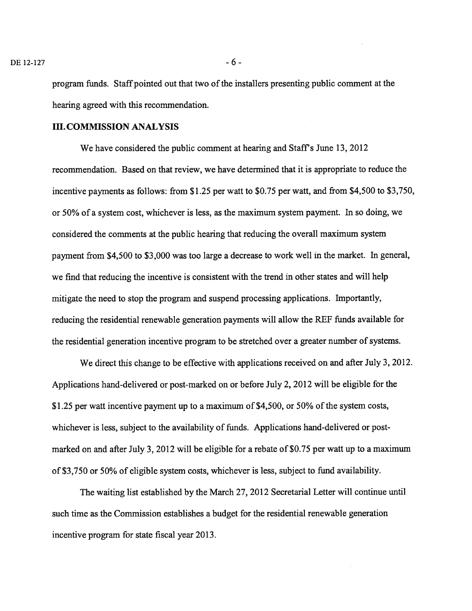program funds. Staff pointed out that two of the installers presenting public comment at the hearing agreed with this recommendation.

#### III.COMMISSION ANALYSIS

We have considered the public comment at hearing and Staff's June 13, 2012 recommendation. Based on that review, we have determined that it is appropriate to reduce the incentive payments as follows: from \$1.25 per watt to \$0.75 per watt, and from \$4,500 to \$3,750, or 50% of a system cost, whichever is less, as the maximum system payment. In so doing, we considered the comments at the public hearing that reducing the overall maximum system payment from \$4,500 to \$3,000 was too large a decrease to work well in the market. In general, we find that reducing the incentive is consistent with the trend in other states and will help mitigate the need to stop the program and suspend processing applications. Importantly, reducing the residential renewable generation payments will allow the REF funds available for the residential generation incentive program to be stretched over a greater number of systems.

We direct this change to be effective with applications received on and after July 3, 2012. Applications hand-delivered or post-marked on or before July 2, 2012 will be eligible for the \$1.25 per watt incentive payment up to a maximum of \$4,500, or 50% of the system costs, whichever is less, subject to the availability of funds. Applications hand-delivered or postmarked on and after July 3, 2012 will be eligible for a rebate of \$0.75 per watt up to a maximum of \$3,750 or 50% of eligible system costs, whichever is less, subject to fund availability.

The waiting list established by the March 27, 2012 Secretarial Letter will continue until such time as the Commission establishes a budget for the residential renewable generation incentive program for state fiscal year 2013.